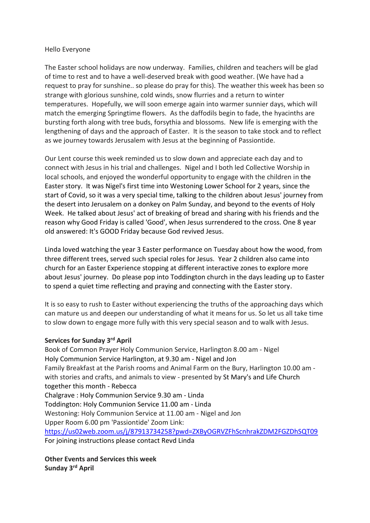#### Hello Everyone

The Easter school holidays are now underway. Families, children and teachers will be glad of time to rest and to have a well-deserved break with good weather. (We have had a request to pray for sunshine.. so please do pray for this). The weather this week has been so strange with glorious sunshine, cold winds, snow flurries and a return to winter temperatures. Hopefully, we will soon emerge again into warmer sunnier days, which will match the emerging Springtime flowers. As the daffodils begin to fade, the hyacinths are bursting forth along with tree buds, forsythia and blossoms. New life is emerging with the lengthening of days and the approach of Easter. It is the season to take stock and to reflect as we journey towards Jerusalem with Jesus at the beginning of Passiontide.

Our Lent course this week reminded us to slow down and appreciate each day and to connect with Jesus in his trial and challenges. Nigel and I both led Collective Worship in local schools, and enjoyed the wonderful opportunity to engage with the children in the Easter story. It was Nigel's first time into Westoning Lower School for 2 years, since the start of Covid, so it was a very special time, talking to the children about Jesus' journey from the desert into Jerusalem on a donkey on Palm Sunday, and beyond to the events of Holy Week. He talked about Jesus' act of breaking of bread and sharing with his friends and the reason why Good Friday is called 'Good', when Jesus surrendered to the cross. One 8 year old answered: It's GOOD Friday because God revived Jesus.

Linda loved watching the year 3 Easter performance on Tuesday about how the wood, from three different trees, served such special roles for Jesus. Year 2 children also came into church for an Easter Experience stopping at different interactive zones to explore more about Jesus' journey. Do please pop into Toddington church in the days leading up to Easter to spend a quiet time reflecting and praying and connecting with the Easter story.

It is so easy to rush to Easter without experiencing the truths of the approaching days which can mature us and deepen our understanding of what it means for us. So let us all take time to slow down to engage more fully with this very special season and to walk with Jesus.

#### **Services for Sunday 3rd April**

Book of Common Prayer Holy Communion Service, Harlington 8.00 am - Nigel Holy Communion Service Harlington, at 9.30 am - Nigel and Jon Family Breakfast at the Parish rooms and Animal Farm on the Bury, Harlington 10.00 am with stories and crafts, and animals to view - presented by St Mary's and Life Church together this month - Rebecca Chalgrave : Holy Communion Service 9.30 am - Linda Toddington: Holy Communion Service 11.00 am - Linda Westoning: Holy Communion Service at 11.00 am - Nigel and Jon Upper Room 6.00 pm 'Passiontide' Zoom Link: <https://us02web.zoom.us/j/87913734258?pwd=ZXByOGRVZFhScnhrakZDM2FGZDhSQT09> For joining instructions please contact Revd Linda

**Other Events and Services this week Sunday 3rd April**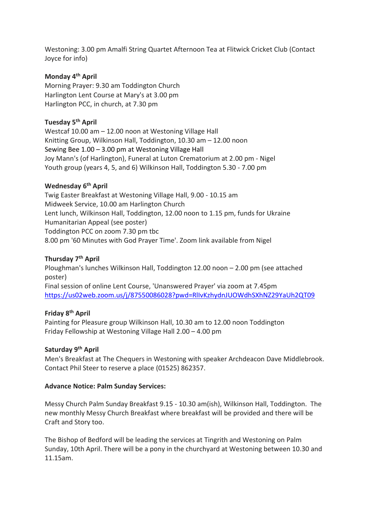Westoning: 3.00 pm Amalfi String Quartet Afternoon Tea at Flitwick Cricket Club (Contact Joyce for info)

# **Monday 4th April**

Morning Prayer: 9.30 am Toddington Church Harlington Lent Course at Mary's at 3.00 pm Harlington PCC, in church, at 7.30 pm

## **Tuesday 5th April**

Westcaf 10.00 am – 12.00 noon at Westoning Village Hall Knitting Group, Wilkinson Hall, Toddington, 10.30 am – 12.00 noon Sewing Bee 1.00 – 3.00 pm at Westoning Village Hall Joy Mann's (of Harlington), Funeral at Luton Crematorium at 2.00 pm - Nigel Youth group (years 4, 5, and 6) Wilkinson Hall, Toddington 5.30 - 7.00 pm

# **Wednesday 6 th April**

Twig Easter Breakfast at Westoning Village Hall, 9.00 - 10.15 am Midweek Service, 10.00 am Harlington Church Lent lunch, Wilkinson Hall, Toddington, 12.00 noon to 1.15 pm, funds for Ukraine Humanitarian Appeal (see poster) Toddington PCC on zoom 7.30 pm tbc 8.00 pm '60 Minutes with God Prayer Time'. Zoom link available from Nigel

# **Thursday 7 th April**

Ploughman's lunches Wilkinson Hall, Toddington 12.00 noon – 2.00 pm (see attached poster) Final session of online Lent Course, 'Unanswered Prayer' via zoom at 7.45pm [https://us02web.zoom.us/j/87550086028?pwd=RlIvKzhydnJUOWdhSXhNZ29YaUh2QT09](https://nam12.safelinks.protection.outlook.com/?url=https%3A%2F%2Fus02web.zoom.us%2Fj%2F87550086028%3Fpwd%3DRlIvKzhydnJUOWdhSXhNZ29YaUh2QT09&data=04%7C01%7C%7C669880b145924c5ca02c08da1419f173%7C84df9e7fe9f640afb435aaaaaaaaaaaa%7C1%7C0%7C637844398949200418%7CUnknown%7CTWFpbGZsb3d8eyJWIjoiMC4wLjAwMDAiLCJQIjoiV2luMzIiLCJBTiI6Ik1haWwiLCJXVCI6Mn0%3D%7C3000&sdata=YIANaa8A%2B%2FV6dCC0%2BoiKd%2Fov0nH7%2BA9j97AEb41cXZo%3D&reserved=0)

### **Friday 8 th April**

Painting for Pleasure group Wilkinson Hall, 10.30 am to 12.00 noon Toddington Friday Fellowship at Westoning Village Hall 2.00 – 4.00 pm

## **Saturday 9 th April**

Men's Breakfast at The Chequers in Westoning with speaker Archdeacon Dave Middlebrook. Contact Phil Steer to reserve a place (01525) 862357.

#### **Advance Notice: Palm Sunday Services:**

Messy Church Palm Sunday Breakfast 9.15 - 10.30 am(ish), Wilkinson Hall, Toddington. The new monthly Messy Church Breakfast where breakfast will be provided and there will be Craft and Story too.

The Bishop of Bedford will be leading the services at Tingrith and Westoning on Palm Sunday, 10th April. There will be a pony in the churchyard at Westoning between 10.30 and 11.15am.